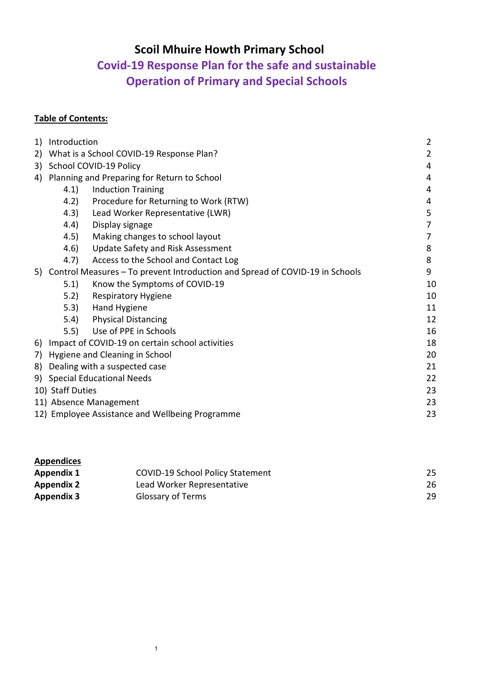# **Scoil Mhuire Howth Primary School**

# **Covid-19 Response Plan for the safe and sustainable Operation of Primary and Special Schools**

# **Table of Contents:**

| 1) | $\overline{2}$<br>Introduction                                                  |                                                 |    |  |  |  |
|----|---------------------------------------------------------------------------------|-------------------------------------------------|----|--|--|--|
| 2) | What is a School COVID-19 Response Plan?                                        |                                                 |    |  |  |  |
| 3) | School COVID-19 Policy                                                          |                                                 |    |  |  |  |
| 4) | Planning and Preparing for Return to School                                     |                                                 | 4  |  |  |  |
|    | 4.1)                                                                            | <b>Induction Training</b>                       | 4  |  |  |  |
|    | 4.2)                                                                            | Procedure for Returning to Work (RTW)           | 4  |  |  |  |
|    | (4.3)                                                                           | Lead Worker Representative (LWR)                | 5  |  |  |  |
|    | (4.4)                                                                           | Display signage                                 |    |  |  |  |
|    | 4.5)                                                                            | Making changes to school layout                 |    |  |  |  |
|    | 4.6)                                                                            | Update Safety and Risk Assessment               | 8  |  |  |  |
|    | 4.7)                                                                            | Access to the School and Contact Log            | 8  |  |  |  |
|    | 5) Control Measures - To prevent Introduction and Spread of COVID-19 in Schools |                                                 | 9  |  |  |  |
|    | 5.1)                                                                            | Know the Symptoms of COVID-19                   | 10 |  |  |  |
|    | 5.2)                                                                            | <b>Respiratory Hygiene</b>                      | 10 |  |  |  |
|    | 5.3)                                                                            | Hand Hygiene                                    | 11 |  |  |  |
|    | 5.4)                                                                            | <b>Physical Distancing</b>                      | 12 |  |  |  |
|    | 5.5)                                                                            | Use of PPE in Schools                           | 16 |  |  |  |
| 6) |                                                                                 | Impact of COVID-19 on certain school activities | 18 |  |  |  |
| 7) | Hygiene and Cleaning in School<br>20                                            |                                                 |    |  |  |  |
| 8) | Dealing with a suspected case<br>21                                             |                                                 |    |  |  |  |
|    | 9) Special Educational Needs<br>22                                              |                                                 |    |  |  |  |
|    | 10) Staff Duties<br>23                                                          |                                                 |    |  |  |  |
|    | 23<br>11) Absence Management                                                    |                                                 |    |  |  |  |
|    | 12) Employee Assistance and Wellbeing Programme<br>23                           |                                                 |    |  |  |  |

| <b>Appendices</b> |                                         |    |
|-------------------|-----------------------------------------|----|
| <b>Appendix 1</b> | <b>COVID-19 School Policy Statement</b> | 25 |
| <b>Appendix 2</b> | Lead Worker Representative              | 26 |
| <b>Appendix 3</b> | <b>Glossary of Terms</b>                | 29 |

1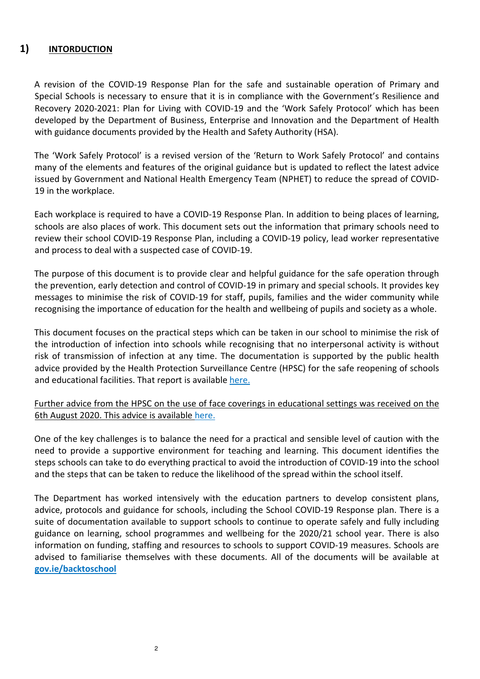# **1) INTORDUCTION**

A revision of the COVID-19 Response Plan for the safe and sustainable operation of Primary and Special Schools is necessary to ensure that it is in compliance with the Government's Resilience and Recovery 2020-2021: Plan for Living with COVID-19 and the 'Work Safely Protocol' which has been developed by the Department of Business, Enterprise and Innovation and the Department of Health with guidance documents provided by the Health and Safety Authority (HSA).

The 'Work Safely Protocol' is a revised version of the 'Return to Work Safely Protocol' and contains many of the elements and features of the original guidance but is updated to reflect the latest advice issued by Government and National Health Emergency Team (NPHET) to reduce the spread of COVID-19 in the workplace.

Each workplace is required to have a COVID-19 Response Plan. In addition to being places of learning, schools are also places of work. This document sets out the information that primary schools need to review their school COVID-19 Response Plan, including a COVID-19 policy, lead worker representative and process to deal with a suspected case of COVID-19.

The purpose of this document is to provide clear and helpful guidance for the safe operation through the prevention, early detection and control of COVID-19 in primary and special schools. It provides key messages to minimise the risk of COVID-19 for staff, pupils, families and the wider community while recognising the importance of education for the health and wellbeing of pupils and society as a whole.

This document focuses on the practical steps which can be taken in our school to minimise the risk of the introduction of infection into schools while recognising that no interpersonal activity is without risk of transmission of infection at any time. The documentation is supported by the public health advice provided by the Health Protection Surveillance Centre (HPSC) for the safe reopening of schools and educational facilities. That report is available here.

#### Further advice from the HPSC on the use of face coverings in educational settings was received on the 6th August 2020. This advice is available here.

One of the key challenges is to balance the need for a practical and sensible level of caution with the need to provide a supportive environment for teaching and learning. This document identifies the steps schools can take to do everything practical to avoid the introduction of COVID-19 into the school and the steps that can be taken to reduce the likelihood of the spread within the school itself.

The Department has worked intensively with the education partners to develop consistent plans, advice, protocols and guidance for schools, including the School COVID-19 Response plan. There is a suite of documentation available to support schools to continue to operate safely and fully including guidance on learning, school programmes and wellbeing for the 2020/21 school year. There is also information on funding, staffing and resources to schools to support COVID-19 measures. Schools are advised to familiarise themselves with these documents. All of the documents will be available at **gov.ie/backtoschool**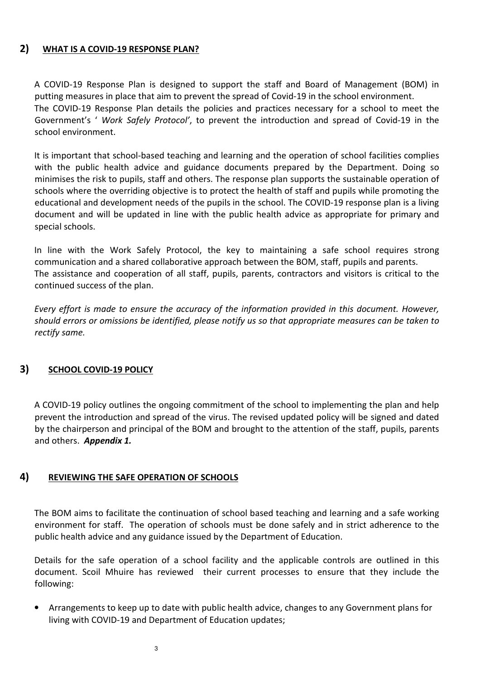# **2) WHAT IS A COVID-19 RESPONSE PLAN?**

A COVID-19 Response Plan is designed to support the staff and Board of Management (BOM) in putting measures in place that aim to prevent the spread of Covid-19 in the school environment. The COVID-19 Response Plan details the policies and practices necessary for a school to meet the Government's ' *Work Safely Protocol'*, to prevent the introduction and spread of Covid-19 in the school environment.

It is important that school-based teaching and learning and the operation of school facilities complies with the public health advice and guidance documents prepared by the Department. Doing so minimises the risk to pupils, staff and others. The response plan supports the sustainable operation of schools where the overriding objective is to protect the health of staff and pupils while promoting the educational and development needs of the pupils in the school. The COVID-19 response plan is a living document and will be updated in line with the public health advice as appropriate for primary and special schools.

In line with the Work Safely Protocol, the key to maintaining a safe school requires strong communication and a shared collaborative approach between the BOM, staff, pupils and parents. The assistance and cooperation of all staff, pupils, parents, contractors and visitors is critical to the continued success of the plan.

*Every effort is made to ensure the accuracy of the information provided in this document. However, should errors or omissions be identified, please notify us so that appropriate measures can be taken to rectify same.* 

# **3) SCHOOL COVID-19 POLICY**

A COVID-19 policy outlines the ongoing commitment of the school to implementing the plan and help prevent the introduction and spread of the virus. The revised updated policy will be signed and dated by the chairperson and principal of the BOM and brought to the attention of the staff, pupils, parents and others. *Appendix 1.*

# **4) REVIEWING THE SAFE OPERATION OF SCHOOLS**

The BOM aims to facilitate the continuation of school based teaching and learning and a safe working environment for staff. The operation of schools must be done safely and in strict adherence to the public health advice and any guidance issued by the Department of Education.

Details for the safe operation of a school facility and the applicable controls are outlined in this document. Scoil Mhuire has reviewed their current processes to ensure that they include the following:

• Arrangements to keep up to date with public health advice, changes to any Government plans for living with COVID-19 and Department of Education updates;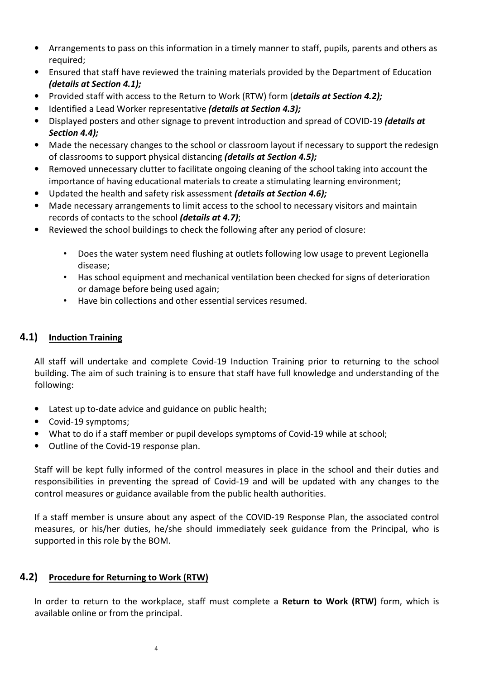- Arrangements to pass on this information in a timely manner to staff, pupils, parents and others as required;
- Ensured that staff have reviewed the training materials provided by the Department of Education *(details at Section 4.1);*
- Provided staff with access to the Return to Work (RTW) form (*details at Section 4.2);*
- Identified a Lead Worker representative *(details at Section 4.3);*
- Displayed posters and other signage to prevent introduction and spread of COVID-19 *(details at Section 4.4);*
- Made the necessary changes to the school or classroom layout if necessary to support the redesign of classrooms to support physical distancing *(details at Section 4.5);*
- Removed unnecessary clutter to facilitate ongoing cleaning of the school taking into account the importance of having educational materials to create a stimulating learning environment;
- Updated the health and safety risk assessment *(details at Section 4.6);*
- Made necessary arrangements to limit access to the school to necessary visitors and maintain records of contacts to the school *(details at 4.7)*;
- Reviewed the school buildings to check the following after any period of closure:
	- Does the water system need flushing at outlets following low usage to prevent Legionella disease;
	- Has school equipment and mechanical ventilation been checked for signs of deterioration or damage before being used again;
	- Have bin collections and other essential services resumed.

# **4.1) Induction Training**

All staff will undertake and complete Covid-19 Induction Training prior to returning to the school building. The aim of such training is to ensure that staff have full knowledge and understanding of the following:

- Latest up to-date advice and guidance on public health;
- Covid-19 symptoms;
- What to do if a staff member or pupil develops symptoms of Covid-19 while at school;
- Outline of the Covid-19 response plan.

Staff will be kept fully informed of the control measures in place in the school and their duties and responsibilities in preventing the spread of Covid-19 and will be updated with any changes to the control measures or guidance available from the public health authorities.

If a staff member is unsure about any aspect of the COVID-19 Response Plan, the associated control measures, or his/her duties, he/she should immediately seek guidance from the Principal, who is supported in this role by the BOM.

# **4.2) Procedure for Returning to Work (RTW)**

In order to return to the workplace, staff must complete a **Return to Work (RTW)** form, which is available online or from the principal.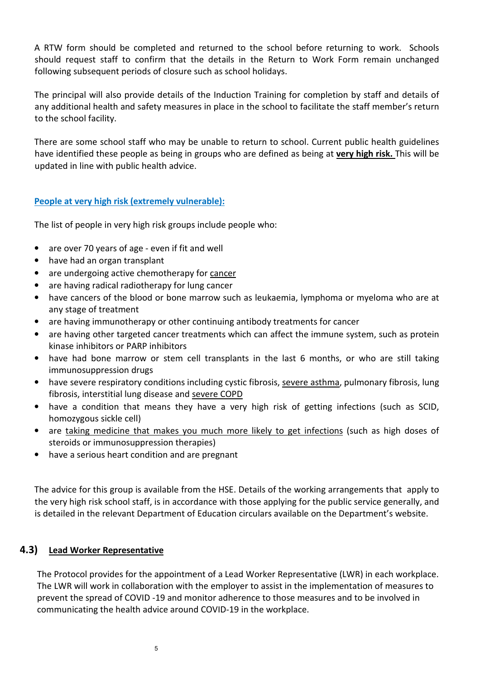A RTW form should be completed and returned to the school before returning to work. Schools should request staff to confirm that the details in the Return to Work Form remain unchanged following subsequent periods of closure such as school holidays.

The principal will also provide details of the Induction Training for completion by staff and details of any additional health and safety measures in place in the school to facilitate the staff member's return to the school facility.

There are some school staff who may be unable to return to school. Current public health guidelines have identified these people as being in groups who are defined as being at **very high risk.** This will be updated in line with public health advice.

# **People at very high risk (extremely vulnerable):**

The list of people in very high risk groups include people who:

- are over 70 years of age even if fit and well
- have had an organ transplant
- are undergoing active chemotherapy for cancer
- are having radical radiotherapy for lung cancer
- have cancers of the blood or bone marrow such as leukaemia, lymphoma or myeloma who are at any stage of treatment
- are having immunotherapy or other continuing antibody treatments for cancer
- are having other targeted cancer treatments which can affect the immune system, such as protein kinase inhibitors or PARP inhibitors
- have had bone marrow or stem cell transplants in the last 6 months, or who are still taking immunosuppression drugs
- have severe respiratory conditions including cystic fibrosis, severe asthma, pulmonary fibrosis, lung fibrosis, interstitial lung disease and severe COPD
- have a condition that means they have a very high risk of getting infections (such as SCID, homozygous sickle cell)
- are taking medicine that makes you much more likely to get infections (such as high doses of steroids or immunosuppression therapies)
- have a serious heart condition and are pregnant

The advice for this group is available from the HSE. Details of the working arrangements that apply to the very high risk school staff, is in accordance with those applying for the public service generally, and is detailed in the relevant Department of Education circulars available on the Department's website.

# **4.3) Lead Worker Representative**

The Protocol provides for the appointment of a Lead Worker Representative (LWR) in each workplace. The LWR will work in collaboration with the employer to assist in the implementation of measures to prevent the spread of COVID -19 and monitor adherence to those measures and to be involved in communicating the health advice around COVID-19 in the workplace.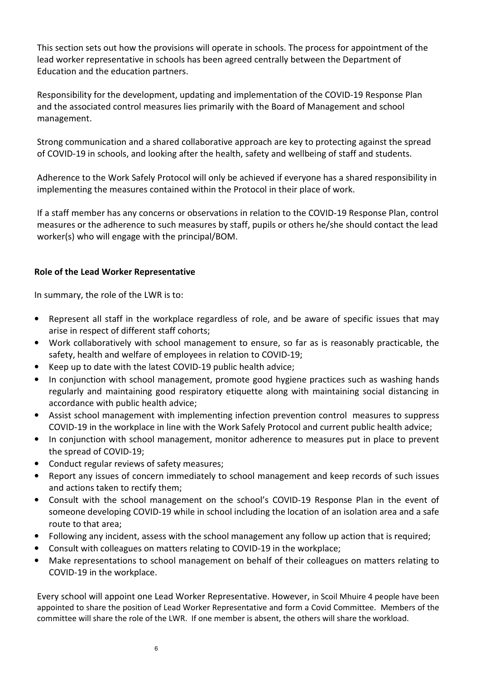This section sets out how the provisions will operate in schools. The process for appointment of the lead worker representative in schools has been agreed centrally between the Department of Education and the education partners.

Responsibility for the development, updating and implementation of the COVID-19 Response Plan and the associated control measures lies primarily with the Board of Management and school management.

Strong communication and a shared collaborative approach are key to protecting against the spread of COVID-19 in schools, and looking after the health, safety and wellbeing of staff and students.

Adherence to the Work Safely Protocol will only be achieved if everyone has a shared responsibility in implementing the measures contained within the Protocol in their place of work.

If a staff member has any concerns or observations in relation to the COVID-19 Response Plan, control measures or the adherence to such measures by staff, pupils or others he/she should contact the lead worker(s) who will engage with the principal/BOM.

# **Role of the Lead Worker Representative**

In summary, the role of the LWR is to:

- Represent all staff in the workplace regardless of role, and be aware of specific issues that may arise in respect of different staff cohorts;
- Work collaboratively with school management to ensure, so far as is reasonably practicable, the safety, health and welfare of employees in relation to COVID-19;
- Keep up to date with the latest COVID-19 public health advice;
- In conjunction with school management, promote good hygiene practices such as washing hands regularly and maintaining good respiratory etiquette along with maintaining social distancing in accordance with public health advice;
- Assist school management with implementing infection prevention control measures to suppress COVID-19 in the workplace in line with the Work Safely Protocol and current public health advice;
- In conjunction with school management, monitor adherence to measures put in place to prevent the spread of COVID-19;
- Conduct regular reviews of safety measures;
- Report any issues of concern immediately to school management and keep records of such issues and actions taken to rectify them;
- Consult with the school management on the school's COVID-19 Response Plan in the event of someone developing COVID-19 while in school including the location of an isolation area and a safe route to that area;
- Following any incident, assess with the school management any follow up action that is required;
- Consult with colleagues on matters relating to COVID-19 in the workplace;
- Make representations to school management on behalf of their colleagues on matters relating to COVID-19 in the workplace.

Every school will appoint one Lead Worker Representative. However, in Scoil Mhuire 4 people have been appointed to share the position of Lead Worker Representative and form a Covid Committee. Members of the committee will share the role of the LWR. If one member is absent, the others will share the workload.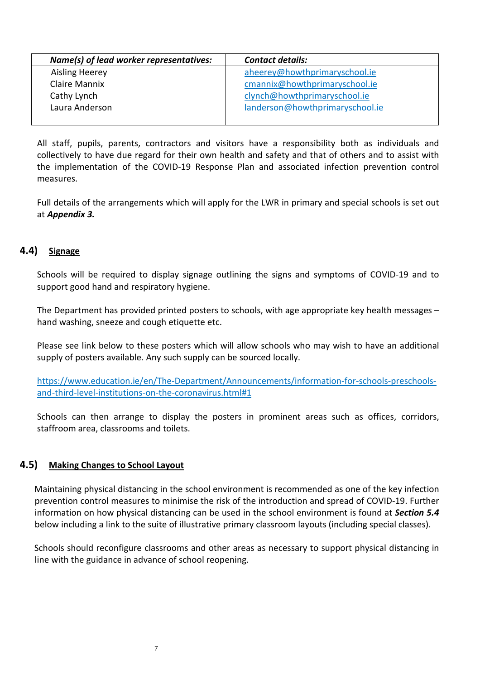| Name(s) of lead worker representatives: | <b>Contact details:</b>         |
|-----------------------------------------|---------------------------------|
| <b>Aisling Heerey</b>                   | aheerey@howthprimaryschool.ie   |
| Claire Mannix                           | cmannix@howthprimaryschool.ie   |
| Cathy Lynch                             | clynch@howthprimaryschool.ie    |
| Laura Anderson                          | landerson@howthprimaryschool.ie |
|                                         |                                 |

All staff, pupils, parents, contractors and visitors have a responsibility both as individuals and collectively to have due regard for their own health and safety and that of others and to assist with the implementation of the COVID-19 Response Plan and associated infection prevention control measures.

Full details of the arrangements which will apply for the LWR in primary and special schools is set out at *Appendix 3.*

# **4.4) Signage**

Schools will be required to display signage outlining the signs and symptoms of COVID-19 and to support good hand and respiratory hygiene.

The Department has provided printed posters to schools, with age appropriate key health messages – hand washing, sneeze and cough etiquette etc.

Please see link below to these posters which will allow schools who may wish to have an additional supply of posters available. Any such supply can be sourced locally.

https://www.education.ie/en/The-Department/Announcements/information-for-schools-preschoolsand-third-level-institutions-on-the-coronavirus.html#1

Schools can then arrange to display the posters in prominent areas such as offices, corridors, staffroom area, classrooms and toilets.

# **4.5) Making Changes to School Layout**

Maintaining physical distancing in the school environment is recommended as one of the key infection prevention control measures to minimise the risk of the introduction and spread of COVID-19. Further information on how physical distancing can be used in the school environment is found at *Section 5.4* below including a link to the suite of illustrative primary classroom layouts (including special classes).

Schools should reconfigure classrooms and other areas as necessary to support physical distancing in line with the guidance in advance of school reopening.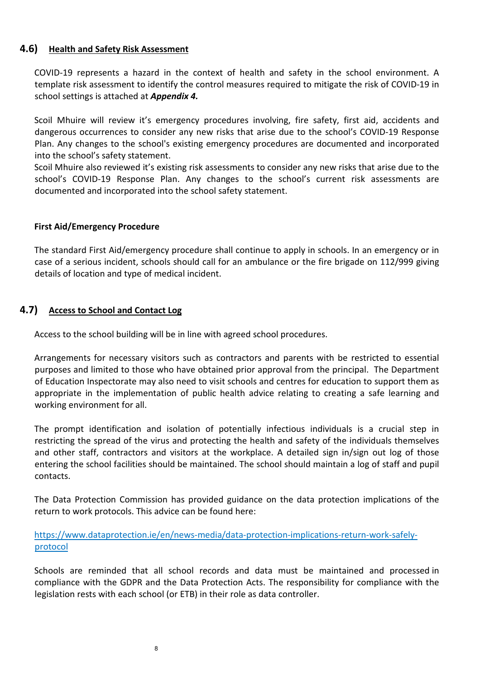# **4.6) Health and Safety Risk Assessment**

COVID-19 represents a hazard in the context of health and safety in the school environment. A template risk assessment to identify the control measures required to mitigate the risk of COVID-19 in school settings is attached at *Appendix 4.*

Scoil Mhuire will review it's emergency procedures involving, fire safety, first aid, accidents and dangerous occurrences to consider any new risks that arise due to the school's COVID-19 Response Plan. Any changes to the school's existing emergency procedures are documented and incorporated into the school's safety statement.

Scoil Mhuire also reviewed it's existing risk assessments to consider any new risks that arise due to the school's COVID-19 Response Plan. Any changes to the school's current risk assessments are documented and incorporated into the school safety statement.

#### **First Aid/Emergency Procedure**

The standard First Aid/emergency procedure shall continue to apply in schools. In an emergency or in case of a serious incident, schools should call for an ambulance or the fire brigade on 112/999 giving details of location and type of medical incident.

#### **4.7) Access to School and Contact Log**

Access to the school building will be in line with agreed school procedures.

Arrangements for necessary visitors such as contractors and parents with be restricted to essential purposes and limited to those who have obtained prior approval from the principal. The Department of Education Inspectorate may also need to visit schools and centres for education to support them as appropriate in the implementation of public health advice relating to creating a safe learning and working environment for all.

The prompt identification and isolation of potentially infectious individuals is a crucial step in restricting the spread of the virus and protecting the health and safety of the individuals themselves and other staff, contractors and visitors at the workplace. A detailed sign in/sign out log of those entering the school facilities should be maintained. The school should maintain a log of staff and pupil contacts.

The Data Protection Commission has provided guidance on the data protection implications of the return to work protocols. This advice can be found here:

https://www.dataprotection.ie/en/news-media/data-protection-implications-return-work-safelyprotocol

Schools are reminded that all school records and data must be maintained and processed in compliance with the GDPR and the Data Protection Acts. The responsibility for compliance with the legislation rests with each school (or ETB) in their role as data controller.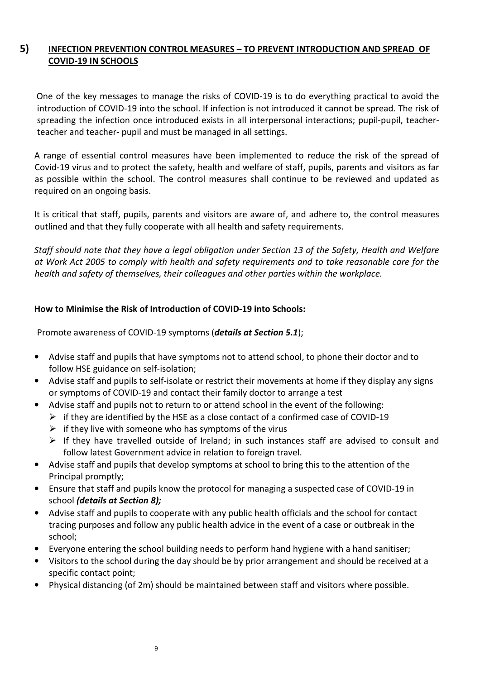# **5) INFECTION PREVENTION CONTROL MEASURES – TO PREVENT INTRODUCTION AND SPREAD OF COVID-19 IN SCHOOLS**

 One of the key messages to manage the risks of COVID-19 is to do everything practical to avoid the introduction of COVID-19 into the school. If infection is not introduced it cannot be spread. The risk of spreading the infection once introduced exists in all interpersonal interactions; pupil-pupil, teacherteacher and teacher- pupil and must be managed in all settings.

A range of essential control measures have been implemented to reduce the risk of the spread of Covid-19 virus and to protect the safety, health and welfare of staff, pupils, parents and visitors as far as possible within the school. The control measures shall continue to be reviewed and updated as required on an ongoing basis.

It is critical that staff, pupils, parents and visitors are aware of, and adhere to, the control measures outlined and that they fully cooperate with all health and safety requirements.

*Staff should note that they have a legal obligation under Section 13 of the Safety, Health and Welfare at Work Act 2005 to comply with health and safety requirements and to take reasonable care for the health and safety of themselves, their colleagues and other parties within the workplace.* 

# **How to Minimise the Risk of Introduction of COVID-19 into Schools:**

Promote awareness of COVID-19 symptoms (*details at Section 5.1*);

- Advise staff and pupils that have symptoms not to attend school, to phone their doctor and to follow HSE guidance on self-isolation;
- Advise staff and pupils to self-isolate or restrict their movements at home if they display any signs or symptoms of COVID-19 and contact their family doctor to arrange a test
	- Advise staff and pupils not to return to or attend school in the event of the following:
		- $\triangleright$  if they are identified by the HSE as a close contact of a confirmed case of COVID-19
		- $\triangleright$  if they live with someone who has symptoms of the virus
		- $\triangleright$  If they have travelled outside of Ireland; in such instances staff are advised to consult and follow latest Government advice in relation to foreign travel.
- Advise staff and pupils that develop symptoms at school to bring this to the attention of the Principal promptly;
- Ensure that staff and pupils know the protocol for managing a suspected case of COVID-19 in school *(details at Section 8);*
- Advise staff and pupils to cooperate with any public health officials and the school for contact tracing purposes and follow any public health advice in the event of a case or outbreak in the school;
- Everyone entering the school building needs to perform hand hygiene with a hand sanitiser;
- Visitors to the school during the day should be by prior arrangement and should be received at a specific contact point;
- Physical distancing (of 2m) should be maintained between staff and visitors where possible.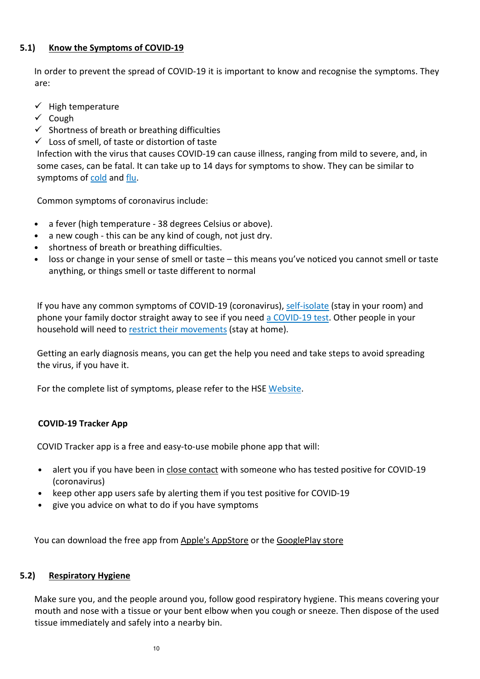#### **5.1) Know the Symptoms of COVID-19**

In order to prevent the spread of COVID-19 it is important to know and recognise the symptoms. They are:

- $\checkmark$  High temperature
- $\checkmark$  Cough
- $\checkmark$  Shortness of breath or breathing difficulties
- $\checkmark$  Loss of smell, of taste or distortion of taste

Infection with the virus that causes COVID-19 can cause illness, ranging from mild to severe, and, in some cases, can be fatal. It can take up to 14 days for symptoms to show. They can be similar to symptoms of cold and flu.

Common symptoms of coronavirus include:

- a fever (high temperature 38 degrees Celsius or above).
- a new cough this can be any kind of cough, not just dry.
- shortness of breath or breathing difficulties.
- loss or change in your sense of smell or taste this means you've noticed you cannot smell or taste anything, or things smell or taste different to normal

If you have any common symptoms of COVID-19 (coronavirus), self-isolate (stay in your room) and phone your family doctor straight away to see if you need a COVID-19 test. Other people in your household will need to restrict their movements (stay at home).

Getting an early diagnosis means, you can get the help you need and take steps to avoid spreading the virus, if you have it.

For the complete list of symptoms, please refer to the HSE Website.

# **COVID-19 Tracker App**

COVID Tracker app is a free and easy-to-use mobile phone app that will:

- alert you if you have been in close contact with someone who has tested positive for COVID-19 (coronavirus)
- keep other app users safe by alerting them if you test positive for COVID-19
- give you advice on what to do if you have symptoms

You can download the free app from Apple's AppStore or the GooglePlay store

#### **5.2) Respiratory Hygiene**

Make sure you, and the people around you, follow good respiratory hygiene. This means covering your mouth and nose with a tissue or your bent elbow when you cough or sneeze. Then dispose of the used tissue immediately and safely into a nearby bin.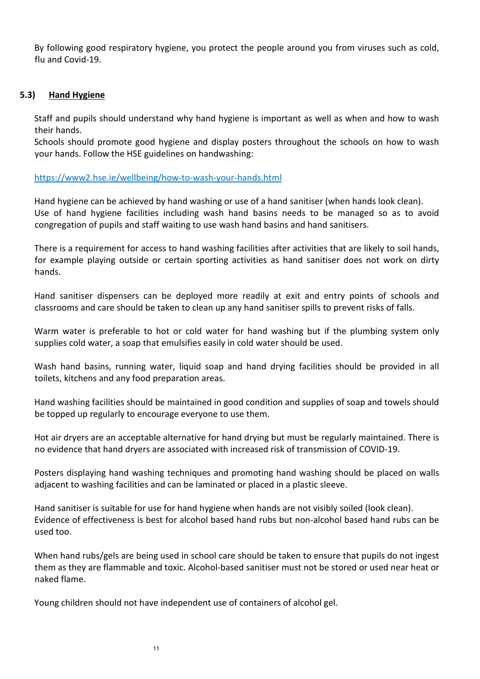By following good respiratory hygiene, you protect the people around you from viruses such as cold, flu and Covid-19.

#### **5.3) Hand Hygiene**

Staff and pupils should understand why hand hygiene is important as well as when and how to wash their hands.

Schools should promote good hygiene and display posters throughout the schools on how to wash your hands. Follow the HSE guidelines on handwashing:

https://www2.hse.ie/wellbeing/how-to-wash-your-hands.html

Hand hygiene can be achieved by hand washing or use of a hand sanitiser (when hands look clean). Use of hand hygiene facilities including wash hand basins needs to be managed so as to avoid congregation of pupils and staff waiting to use wash hand basins and hand sanitisers.

There is a requirement for access to hand washing facilities after activities that are likely to soil hands, for example playing outside or certain sporting activities as hand sanitiser does not work on dirty hands.

Hand sanitiser dispensers can be deployed more readily at exit and entry points of schools and classrooms and care should be taken to clean up any hand sanitiser spills to prevent risks of falls.

Warm water is preferable to hot or cold water for hand washing but if the plumbing system only supplies cold water, a soap that emulsifies easily in cold water should be used.

Wash hand basins, running water, liquid soap and hand drying facilities should be provided in all toilets, kitchens and any food preparation areas.

Hand washing facilities should be maintained in good condition and supplies of soap and towels should be topped up regularly to encourage everyone to use them.

Hot air dryers are an acceptable alternative for hand drying but must be regularly maintained. There is no evidence that hand dryers are associated with increased risk of transmission of COVID-19.

Posters displaying hand washing techniques and promoting hand washing should be placed on walls adjacent to washing facilities and can be laminated or placed in a plastic sleeve.

Hand sanitiser is suitable for use for hand hygiene when hands are not visibly soiled (look clean). Evidence of effectiveness is best for alcohol based hand rubs but non-alcohol based hand rubs can be used too.

When hand rubs/gels are being used in school care should be taken to ensure that pupils do not ingest them as they are flammable and toxic. Alcohol-based sanitiser must not be stored or used near heat or naked flame.

Young children should not have independent use of containers of alcohol gel.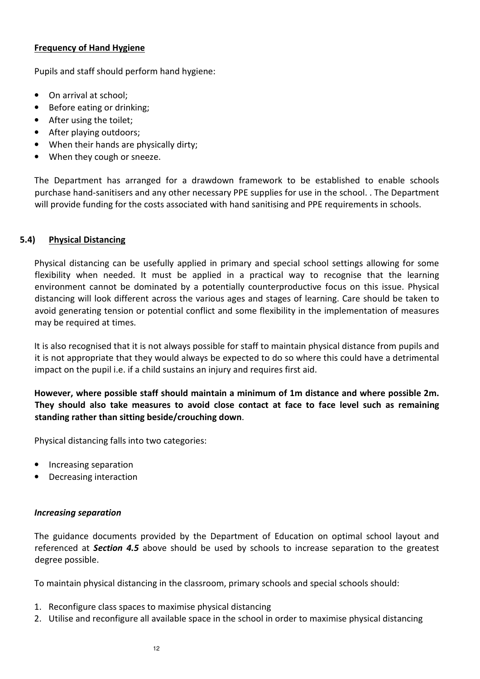#### **Frequency of Hand Hygiene**

Pupils and staff should perform hand hygiene:

- On arrival at school;
- Before eating or drinking;
- After using the toilet;
- After playing outdoors;
- When their hands are physically dirty;
- When they cough or sneeze.

The Department has arranged for a drawdown framework to be established to enable schools purchase hand-sanitisers and any other necessary PPE supplies for use in the school. . The Department will provide funding for the costs associated with hand sanitising and PPE requirements in schools.

# **5.4) Physical Distancing**

Physical distancing can be usefully applied in primary and special school settings allowing for some flexibility when needed. It must be applied in a practical way to recognise that the learning environment cannot be dominated by a potentially counterproductive focus on this issue. Physical distancing will look different across the various ages and stages of learning. Care should be taken to avoid generating tension or potential conflict and some flexibility in the implementation of measures may be required at times.

It is also recognised that it is not always possible for staff to maintain physical distance from pupils and it is not appropriate that they would always be expected to do so where this could have a detrimental impact on the pupil i.e. if a child sustains an injury and requires first aid.

**However, where possible staff should maintain a minimum of 1m distance and where possible 2m. They should also take measures to avoid close contact at face to face level such as remaining standing rather than sitting beside/crouching down**.

Physical distancing falls into two categories:

- Increasing separation
- Decreasing interaction

# *Increasing separation*

The guidance documents provided by the Department of Education on optimal school layout and referenced at *Section 4.5* above should be used by schools to increase separation to the greatest degree possible.

To maintain physical distancing in the classroom, primary schools and special schools should:

- 1. Reconfigure class spaces to maximise physical distancing
- 2. Utilise and reconfigure all available space in the school in order to maximise physical distancing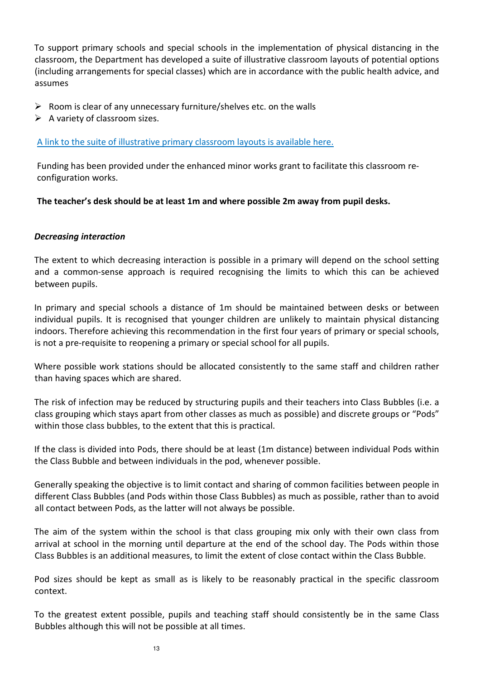To support primary schools and special schools in the implementation of physical distancing in the classroom, the Department has developed a suite of illustrative classroom layouts of potential options (including arrangements for special classes) which are in accordance with the public health advice, and assumes

- $\triangleright$  Room is clear of any unnecessary furniture/shelves etc. on the walls
- $\triangleright$  A variety of classroom sizes.

#### A link to the suite of illustrative primary classroom layouts is available here.

Funding has been provided under the enhanced minor works grant to facilitate this classroom reconfiguration works.

**The teacher's desk should be at least 1m and where possible 2m away from pupil desks.** 

#### *Decreasing interaction*

The extent to which decreasing interaction is possible in a primary will depend on the school setting and a common-sense approach is required recognising the limits to which this can be achieved between pupils.

In primary and special schools a distance of 1m should be maintained between desks or between individual pupils. It is recognised that younger children are unlikely to maintain physical distancing indoors. Therefore achieving this recommendation in the first four years of primary or special schools, is not a pre-requisite to reopening a primary or special school for all pupils.

Where possible work stations should be allocated consistently to the same staff and children rather than having spaces which are shared.

The risk of infection may be reduced by structuring pupils and their teachers into Class Bubbles (i.e. a class grouping which stays apart from other classes as much as possible) and discrete groups or "Pods" within those class bubbles, to the extent that this is practical.

If the class is divided into Pods, there should be at least (1m distance) between individual Pods within the Class Bubble and between individuals in the pod, whenever possible.

Generally speaking the objective is to limit contact and sharing of common facilities between people in different Class Bubbles (and Pods within those Class Bubbles) as much as possible, rather than to avoid all contact between Pods, as the latter will not always be possible.

The aim of the system within the school is that class grouping mix only with their own class from arrival at school in the morning until departure at the end of the school day. The Pods within those Class Bubbles is an additional measures, to limit the extent of close contact within the Class Bubble.

Pod sizes should be kept as small as is likely to be reasonably practical in the specific classroom context.

To the greatest extent possible, pupils and teaching staff should consistently be in the same Class Bubbles although this will not be possible at all times.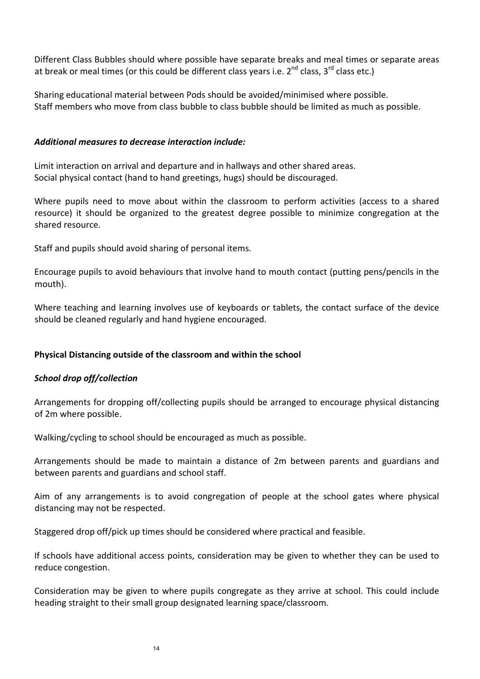Different Class Bubbles should where possible have separate breaks and meal times or separate areas at break or meal times (or this could be different class years i.e.  $2^{nd}$  class,  $3^{rd}$  class etc.)

Sharing educational material between Pods should be avoided/minimised where possible. Staff members who move from class bubble to class bubble should be limited as much as possible.

#### *Additional measures to decrease interaction include:*

Limit interaction on arrival and departure and in hallways and other shared areas. Social physical contact (hand to hand greetings, hugs) should be discouraged.

Where pupils need to move about within the classroom to perform activities (access to a shared resource) it should be organized to the greatest degree possible to minimize congregation at the shared resource.

Staff and pupils should avoid sharing of personal items.

Encourage pupils to avoid behaviours that involve hand to mouth contact (putting pens/pencils in the mouth).

Where teaching and learning involves use of keyboards or tablets, the contact surface of the device should be cleaned regularly and hand hygiene encouraged.

# **Physical Distancing outside of the classroom and within the school**

# *School drop off/collection*

Arrangements for dropping off/collecting pupils should be arranged to encourage physical distancing of 2m where possible.

Walking/cycling to school should be encouraged as much as possible.

Arrangements should be made to maintain a distance of 2m between parents and guardians and between parents and guardians and school staff.

Aim of any arrangements is to avoid congregation of people at the school gates where physical distancing may not be respected.

Staggered drop off/pick up times should be considered where practical and feasible.

If schools have additional access points, consideration may be given to whether they can be used to reduce congestion.

Consideration may be given to where pupils congregate as they arrive at school. This could include heading straight to their small group designated learning space/classroom.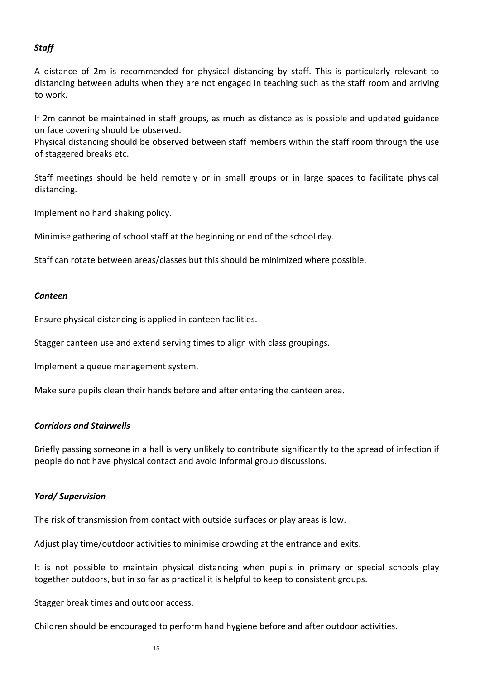# *Staff*

A distance of 2m is recommended for physical distancing by staff. This is particularly relevant to distancing between adults when they are not engaged in teaching such as the staff room and arriving to work.

If 2m cannot be maintained in staff groups, as much as distance as is possible and updated guidance on face covering should be observed.

Physical distancing should be observed between staff members within the staff room through the use of staggered breaks etc.

Staff meetings should be held remotely or in small groups or in large spaces to facilitate physical distancing.

Implement no hand shaking policy.

Minimise gathering of school staff at the beginning or end of the school day.

Staff can rotate between areas/classes but this should be minimized where possible.

#### *Canteen*

Ensure physical distancing is applied in canteen facilities.

Stagger canteen use and extend serving times to align with class groupings.

Implement a queue management system.

Make sure pupils clean their hands before and after entering the canteen area.

#### *Corridors and Stairwells*

Briefly passing someone in a hall is very unlikely to contribute significantly to the spread of infection if people do not have physical contact and avoid informal group discussions.

#### *Yard/ Supervision*

The risk of transmission from contact with outside surfaces or play areas is low.

Adjust play time/outdoor activities to minimise crowding at the entrance and exits.

It is not possible to maintain physical distancing when pupils in primary or special schools play together outdoors, but in so far as practical it is helpful to keep to consistent groups.

Stagger break times and outdoor access.

Children should be encouraged to perform hand hygiene before and after outdoor activities.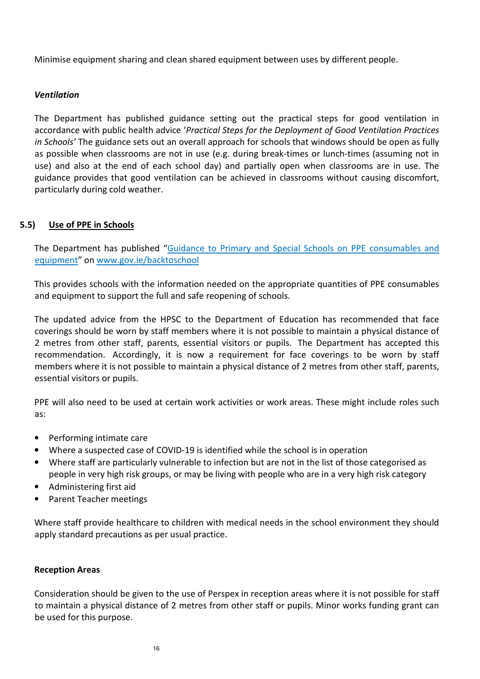Minimise equipment sharing and clean shared equipment between uses by different people.

#### *Ventilation*

The Department has published guidance setting out the practical steps for good ventilation in accordance with public health advice '*Practical Steps for the Deployment of Good Ventilation Practices in Schools'* The guidance sets out an overall approach for schools that windows should be open as fully as possible when classrooms are not in use (e.g. during break-times or lunch-times (assuming not in use) and also at the end of each school day) and partially open when classrooms are in use. The guidance provides that good ventilation can be achieved in classrooms without causing discomfort, particularly during cold weather.

#### **5.5) Use of PPE in Schools**

The Department has published "Guidance to Primary and Special Schools on PPE consumables and equipment" on www.gov.ie/backtoschool

This provides schools with the information needed on the appropriate quantities of PPE consumables and equipment to support the full and safe reopening of schools.

The updated advice from the HPSC to the Department of Education has recommended that face coverings should be worn by staff members where it is not possible to maintain a physical distance of 2 metres from other staff, parents, essential visitors or pupils. The Department has accepted this recommendation. Accordingly, it is now a requirement for face coverings to be worn by staff members where it is not possible to maintain a physical distance of 2 metres from other staff, parents, essential visitors or pupils.

PPE will also need to be used at certain work activities or work areas. These might include roles such as:

- Performing intimate care
- Where a suspected case of COVID-19 is identified while the school is in operation
- Where staff are particularly vulnerable to infection but are not in the list of those categorised as people in very high risk groups, or may be living with people who are in a very high risk category
- Administering first aid
- Parent Teacher meetings

Where staff provide healthcare to children with medical needs in the school environment they should apply standard precautions as per usual practice.

#### **Reception Areas**

Consideration should be given to the use of Perspex in reception areas where it is not possible for staff to maintain a physical distance of 2 metres from other staff or pupils. Minor works funding grant can be used for this purpose.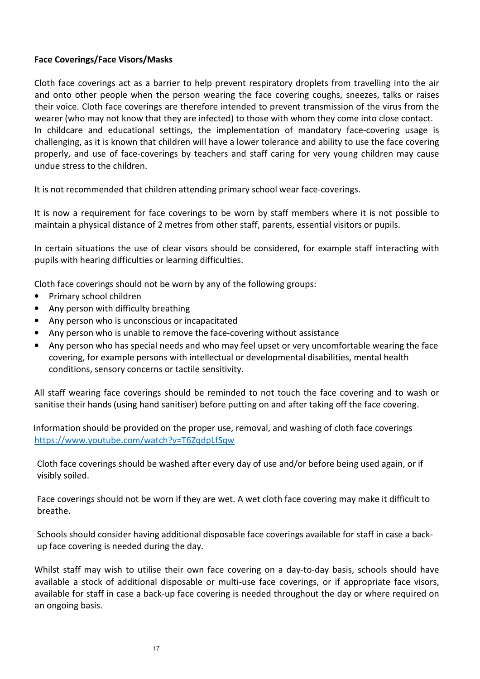### **Face Coverings/Face Visors/Masks**

Cloth face coverings act as a barrier to help prevent respiratory droplets from travelling into the air and onto other people when the person wearing the face covering coughs, sneezes, talks or raises their voice. Cloth face coverings are therefore intended to prevent transmission of the virus from the wearer (who may not know that they are infected) to those with whom they come into close contact. In childcare and educational settings, the implementation of mandatory face-covering usage is challenging, as it is known that children will have a lower tolerance and ability to use the face covering properly, and use of face-coverings by teachers and staff caring for very young children may cause undue stress to the children.

It is not recommended that children attending primary school wear face-coverings.

It is now a requirement for face coverings to be worn by staff members where it is not possible to maintain a physical distance of 2 metres from other staff, parents, essential visitors or pupils.

In certain situations the use of clear visors should be considered, for example staff interacting with pupils with hearing difficulties or learning difficulties.

Cloth face coverings should not be worn by any of the following groups:

- Primary school children
- Any person with difficulty breathing
- Any person who is unconscious or incapacitated
- Any person who is unable to remove the face-covering without assistance
- Any person who has special needs and who may feel upset or very uncomfortable wearing the face covering, for example persons with intellectual or developmental disabilities, mental health conditions, sensory concerns or tactile sensitivity.

All staff wearing face coverings should be reminded to not touch the face covering and to wash or sanitise their hands (using hand sanitiser) before putting on and after taking off the face covering.

 Information should be provided on the proper use, removal, and washing of cloth face coverings https://www.youtube.com/watch?v=T6ZqdpLfSqw

Cloth face coverings should be washed after every day of use and/or before being used again, or if visibly soiled.

Face coverings should not be worn if they are wet. A wet cloth face covering may make it difficult to breathe.

Schools should consider having additional disposable face coverings available for staff in case a backup face covering is needed during the day.

Whilst staff may wish to utilise their own face covering on a day-to-day basis, schools should have available a stock of additional disposable or multi-use face coverings, or if appropriate face visors, available for staff in case a back-up face covering is needed throughout the day or where required on an ongoing basis.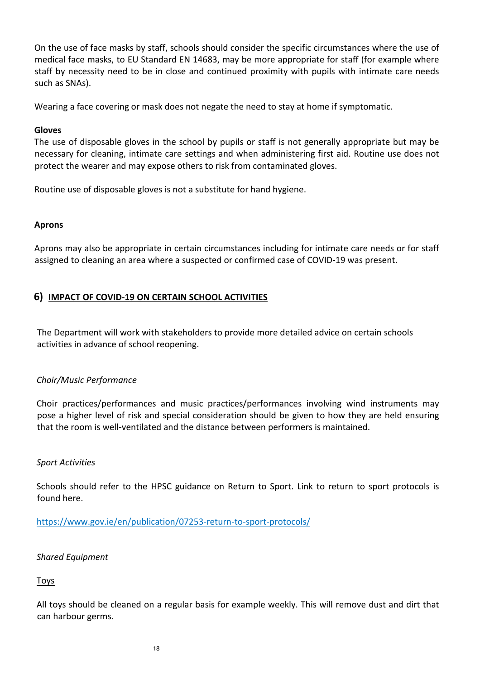On the use of face masks by staff, schools should consider the specific circumstances where the use of medical face masks, to EU Standard EN 14683, may be more appropriate for staff (for example where staff by necessity need to be in close and continued proximity with pupils with intimate care needs such as SNAs).

Wearing a face covering or mask does not negate the need to stay at home if symptomatic.

#### **Gloves**

The use of disposable gloves in the school by pupils or staff is not generally appropriate but may be necessary for cleaning, intimate care settings and when administering first aid. Routine use does not protect the wearer and may expose others to risk from contaminated gloves.

Routine use of disposable gloves is not a substitute for hand hygiene.

#### **Aprons**

Aprons may also be appropriate in certain circumstances including for intimate care needs or for staff assigned to cleaning an area where a suspected or confirmed case of COVID-19 was present.

# **6) IMPACT OF COVID-19 ON CERTAIN SCHOOL ACTIVITIES**

The Department will work with stakeholders to provide more detailed advice on certain schools activities in advance of school reopening.

# *Choir/Music Performance*

Choir practices/performances and music practices/performances involving wind instruments may pose a higher level of risk and special consideration should be given to how they are held ensuring that the room is well-ventilated and the distance between performers is maintained.

#### *Sport Activities*

Schools should refer to the HPSC guidance on Return to Sport. Link to return to sport protocols is found here.

https://www.gov.ie/en/publication/07253-return-to-sport-protocols/

# *Shared Equipment*

# Toys

All toys should be cleaned on a regular basis for example weekly. This will remove dust and dirt that can harbour germs.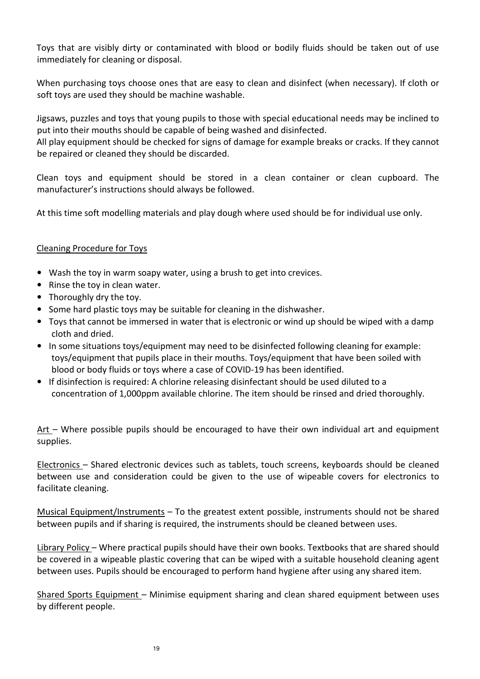Toys that are visibly dirty or contaminated with blood or bodily fluids should be taken out of use immediately for cleaning or disposal.

When purchasing toys choose ones that are easy to clean and disinfect (when necessary). If cloth or soft toys are used they should be machine washable.

Jigsaws, puzzles and toys that young pupils to those with special educational needs may be inclined to put into their mouths should be capable of being washed and disinfected.

All play equipment should be checked for signs of damage for example breaks or cracks. If they cannot be repaired or cleaned they should be discarded.

Clean toys and equipment should be stored in a clean container or clean cupboard. The manufacturer's instructions should always be followed.

At this time soft modelling materials and play dough where used should be for individual use only.

#### Cleaning Procedure for Toys

- Wash the toy in warm soapy water, using a brush to get into crevices.
- Rinse the toy in clean water.
- Thoroughly dry the toy.
- Some hard plastic toys may be suitable for cleaning in the dishwasher.
- Toys that cannot be immersed in water that is electronic or wind up should be wiped with a damp cloth and dried.
- In some situations toys/equipment may need to be disinfected following cleaning for example: toys/equipment that pupils place in their mouths. Toys/equipment that have been soiled with blood or body fluids or toys where a case of COVID-19 has been identified.
- If disinfection is required: A chlorine releasing disinfectant should be used diluted to a concentration of 1,000ppm available chlorine. The item should be rinsed and dried thoroughly.

Art – Where possible pupils should be encouraged to have their own individual art and equipment supplies.

Electronics – Shared electronic devices such as tablets, touch screens, keyboards should be cleaned between use and consideration could be given to the use of wipeable covers for electronics to facilitate cleaning.

Musical Equipment/Instruments – To the greatest extent possible, instruments should not be shared between pupils and if sharing is required, the instruments should be cleaned between uses.

Library Policy – Where practical pupils should have their own books. Textbooks that are shared should be covered in a wipeable plastic covering that can be wiped with a suitable household cleaning agent between uses. Pupils should be encouraged to perform hand hygiene after using any shared item.

Shared Sports Equipment – Minimise equipment sharing and clean shared equipment between uses by different people.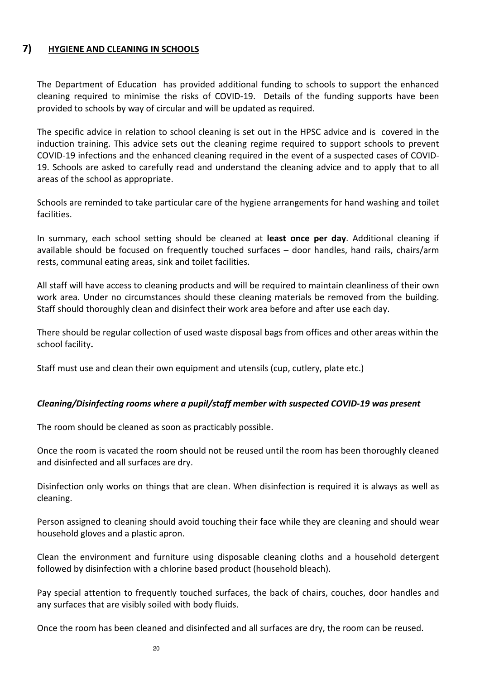# **7) HYGIENE AND CLEANING IN SCHOOLS**

The Department of Education has provided additional funding to schools to support the enhanced cleaning required to minimise the risks of COVID-19. Details of the funding supports have been provided to schools by way of circular and will be updated as required.

The specific advice in relation to school cleaning is set out in the HPSC advice and is covered in the induction training. This advice sets out the cleaning regime required to support schools to prevent COVID-19 infections and the enhanced cleaning required in the event of a suspected cases of COVID-19. Schools are asked to carefully read and understand the cleaning advice and to apply that to all areas of the school as appropriate.

Schools are reminded to take particular care of the hygiene arrangements for hand washing and toilet facilities.

In summary, each school setting should be cleaned at **least once per day**. Additional cleaning if available should be focused on frequently touched surfaces – door handles, hand rails, chairs/arm rests, communal eating areas, sink and toilet facilities.

All staff will have access to cleaning products and will be required to maintain cleanliness of their own work area. Under no circumstances should these cleaning materials be removed from the building. Staff should thoroughly clean and disinfect their work area before and after use each day.

There should be regular collection of used waste disposal bags from offices and other areas within the school facility**.** 

Staff must use and clean their own equipment and utensils (cup, cutlery, plate etc.)

#### *Cleaning/Disinfecting rooms where a pupil/staff member with suspected COVID-19 was present*

The room should be cleaned as soon as practicably possible.

Once the room is vacated the room should not be reused until the room has been thoroughly cleaned and disinfected and all surfaces are dry.

Disinfection only works on things that are clean. When disinfection is required it is always as well as cleaning.

Person assigned to cleaning should avoid touching their face while they are cleaning and should wear household gloves and a plastic apron.

Clean the environment and furniture using disposable cleaning cloths and a household detergent followed by disinfection with a chlorine based product (household bleach).

Pay special attention to frequently touched surfaces, the back of chairs, couches, door handles and any surfaces that are visibly soiled with body fluids.

Once the room has been cleaned and disinfected and all surfaces are dry, the room can be reused.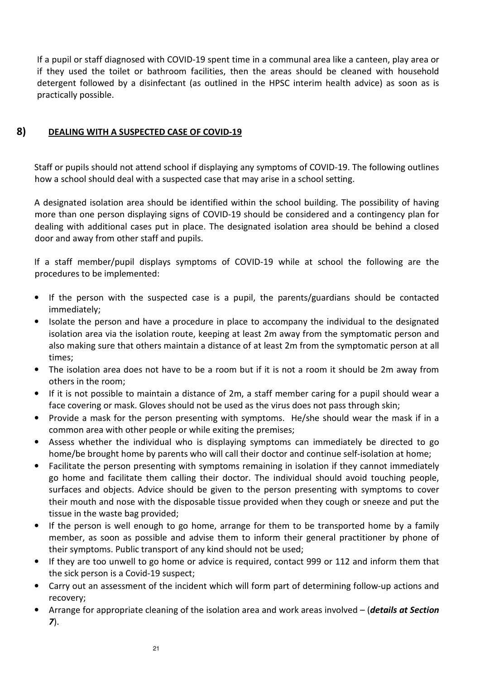If a pupil or staff diagnosed with COVID-19 spent time in a communal area like a canteen, play area or if they used the toilet or bathroom facilities, then the areas should be cleaned with household detergent followed by a disinfectant (as outlined in the HPSC interim health advice) as soon as is practically possible.

# **8) DEALING WITH A SUSPECTED CASE OF COVID-19**

Staff or pupils should not attend school if displaying any symptoms of COVID-19. The following outlines how a school should deal with a suspected case that may arise in a school setting.

A designated isolation area should be identified within the school building. The possibility of having more than one person displaying signs of COVID-19 should be considered and a contingency plan for dealing with additional cases put in place. The designated isolation area should be behind a closed door and away from other staff and pupils.

If a staff member/pupil displays symptoms of COVID-19 while at school the following are the procedures to be implemented:

- If the person with the suspected case is a pupil, the parents/guardians should be contacted immediately;
- Isolate the person and have a procedure in place to accompany the individual to the designated isolation area via the isolation route, keeping at least 2m away from the symptomatic person and also making sure that others maintain a distance of at least 2m from the symptomatic person at all times;
- The isolation area does not have to be a room but if it is not a room it should be 2m away from others in the room;
- If it is not possible to maintain a distance of 2m, a staff member caring for a pupil should wear a face covering or mask. Gloves should not be used as the virus does not pass through skin;
- Provide a mask for the person presenting with symptoms. He/she should wear the mask if in a common area with other people or while exiting the premises;
- Assess whether the individual who is displaying symptoms can immediately be directed to go home/be brought home by parents who will call their doctor and continue self-isolation at home;
- Facilitate the person presenting with symptoms remaining in isolation if they cannot immediately go home and facilitate them calling their doctor. The individual should avoid touching people, surfaces and objects. Advice should be given to the person presenting with symptoms to cover their mouth and nose with the disposable tissue provided when they cough or sneeze and put the tissue in the waste bag provided;
- If the person is well enough to go home, arrange for them to be transported home by a family member, as soon as possible and advise them to inform their general practitioner by phone of their symptoms. Public transport of any kind should not be used;
- If they are too unwell to go home or advice is required, contact 999 or 112 and inform them that the sick person is a Covid-19 suspect;
- Carry out an assessment of the incident which will form part of determining follow-up actions and recovery;
- Arrange for appropriate cleaning of the isolation area and work areas involved (*details at Section 7*).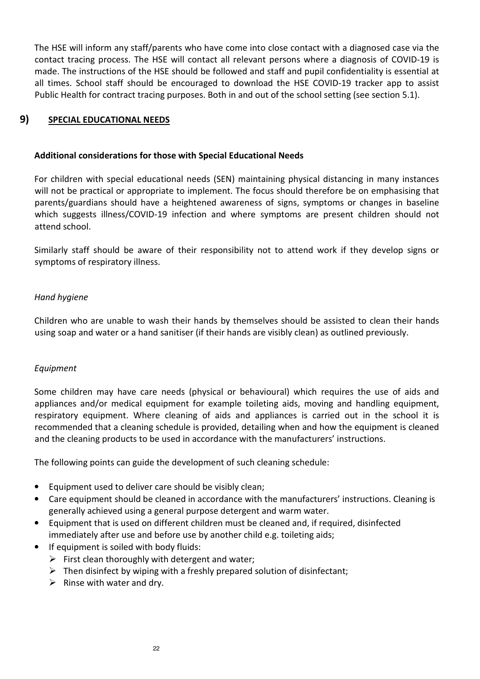The HSE will inform any staff/parents who have come into close contact with a diagnosed case via the contact tracing process. The HSE will contact all relevant persons where a diagnosis of COVID-19 is made. The instructions of the HSE should be followed and staff and pupil confidentiality is essential at all times. School staff should be encouraged to download the HSE COVID-19 tracker app to assist Public Health for contract tracing purposes. Both in and out of the school setting (see section 5.1).

# **9) SPECIAL EDUCATIONAL NEEDS**

#### **Additional considerations for those with Special Educational Needs**

For children with special educational needs (SEN) maintaining physical distancing in many instances will not be practical or appropriate to implement. The focus should therefore be on emphasising that parents/guardians should have a heightened awareness of signs, symptoms or changes in baseline which suggests illness/COVID-19 infection and where symptoms are present children should not attend school.

Similarly staff should be aware of their responsibility not to attend work if they develop signs or symptoms of respiratory illness.

#### *Hand hygiene*

Children who are unable to wash their hands by themselves should be assisted to clean their hands using soap and water or a hand sanitiser (if their hands are visibly clean) as outlined previously.

#### *Equipment*

Some children may have care needs (physical or behavioural) which requires the use of aids and appliances and/or medical equipment for example toileting aids, moving and handling equipment, respiratory equipment. Where cleaning of aids and appliances is carried out in the school it is recommended that a cleaning schedule is provided, detailing when and how the equipment is cleaned and the cleaning products to be used in accordance with the manufacturers' instructions.

The following points can guide the development of such cleaning schedule:

- Equipment used to deliver care should be visibly clean;
- Care equipment should be cleaned in accordance with the manufacturers' instructions. Cleaning is generally achieved using a general purpose detergent and warm water.
- Equipment that is used on different children must be cleaned and, if required, disinfected immediately after use and before use by another child e.g. toileting aids;
- If equipment is soiled with body fluids:
	- $\triangleright$  First clean thoroughly with detergent and water;
	- $\triangleright$  Then disinfect by wiping with a freshly prepared solution of disinfectant;
	- $\triangleright$  Rinse with water and dry.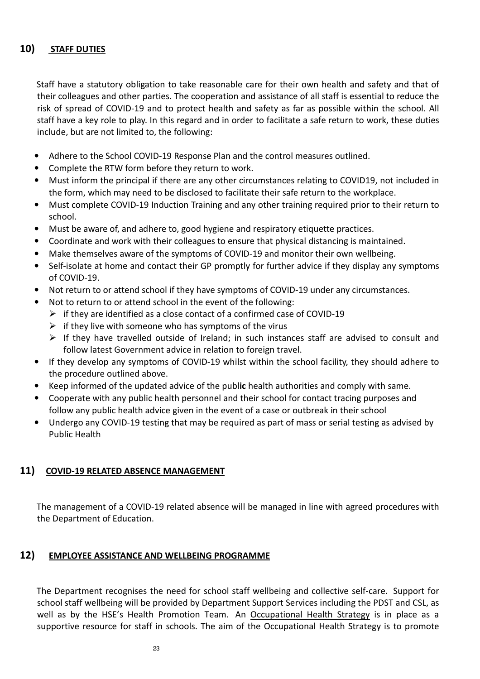# **10) STAFF DUTIES**

 Staff have a statutory obligation to take reasonable care for their own health and safety and that of their colleagues and other parties. The cooperation and assistance of all staff is essential to reduce the risk of spread of COVID-19 and to protect health and safety as far as possible within the school. All staff have a key role to play. In this regard and in order to facilitate a safe return to work, these duties include, but are not limited to, the following:

- Adhere to the School COVID-19 Response Plan and the control measures outlined.
- Complete the RTW form before they return to work.
- Must inform the principal if there are any other circumstances relating to COVID19, not included in the form, which may need to be disclosed to facilitate their safe return to the workplace.
- Must complete COVID-19 Induction Training and any other training required prior to their return to school.
- Must be aware of, and adhere to, good hygiene and respiratory etiquette practices.
- Coordinate and work with their colleagues to ensure that physical distancing is maintained.
- Make themselves aware of the symptoms of COVID-19 and monitor their own wellbeing.
- Self-isolate at home and contact their GP promptly for further advice if they display any symptoms of COVID-19.
- Not return to or attend school if they have symptoms of COVID-19 under any circumstances.
- Not to return to or attend school in the event of the following:
	- $\triangleright$  if they are identified as a close contact of a confirmed case of COVID-19
	- $\triangleright$  if they live with someone who has symptoms of the virus
	- $\triangleright$  If they have travelled outside of Ireland; in such instances staff are advised to consult and follow latest Government advice in relation to foreign travel.
- If they develop any symptoms of COVID-19 whilst within the school facility, they should adhere to the procedure outlined above.
- Keep informed of the updated advice of the publ**ic** health authorities and comply with same.
- Cooperate with any public health personnel and their school for contact tracing purposes and follow any public health advice given in the event of a case or outbreak in their school
- Undergo any COVID-19 testing that may be required as part of mass or serial testing as advised by Public Health

# **11) COVID-19 RELATED ABSENCE MANAGEMENT**

The management of a COVID-19 related absence will be managed in line with agreed procedures with the Department of Education.

# **12) EMPLOYEE ASSISTANCE AND WELLBEING PROGRAMME**

The Department recognises the need for school staff wellbeing and collective self-care. Support for school staff wellbeing will be provided by Department Support Services including the PDST and CSL, as well as by the HSE's Health Promotion Team. An Occupational Health Strategy is in place as a supportive resource for staff in schools. The aim of the Occupational Health Strategy is to promote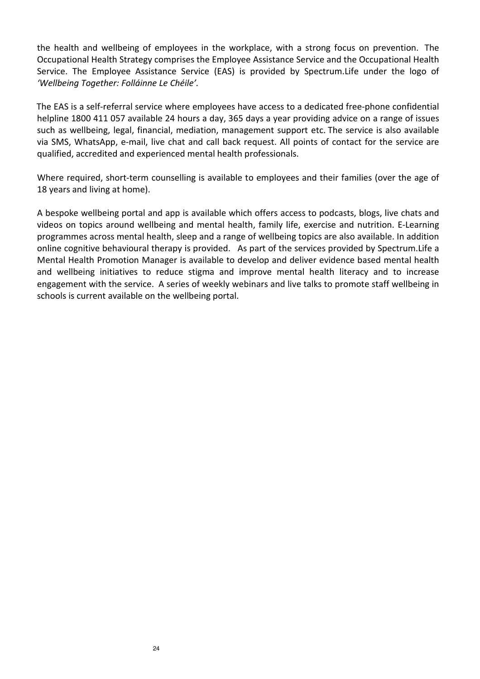the health and wellbeing of employees in the workplace, with a strong focus on prevention. The Occupational Health Strategy comprises the Employee Assistance Service and the Occupational Health Service. The Employee Assistance Service (EAS) is provided by Spectrum.Life under the logo of *'Wellbeing Together: Folláinne Le Chéile'.* 

The EAS is a self-referral service where employees have access to a dedicated free-phone confidential helpline 1800 411 057 available 24 hours a day, 365 days a year providing advice on a range of issues such as wellbeing, legal, financial, mediation, management support etc. The service is also available via SMS, WhatsApp, e-mail, live chat and call back request. All points of contact for the service are qualified, accredited and experienced mental health professionals.

Where required, short-term counselling is available to employees and their families (over the age of 18 years and living at home).

A bespoke wellbeing portal and app is available which offers access to podcasts, blogs, live chats and videos on topics around wellbeing and mental health, family life, exercise and nutrition. E-Learning programmes across mental health, sleep and a range of wellbeing topics are also available. In addition online cognitive behavioural therapy is provided. As part of the services provided by Spectrum.Life a Mental Health Promotion Manager is available to develop and deliver evidence based mental health and wellbeing initiatives to reduce stigma and improve mental health literacy and to increase engagement with the service. A series of weekly webinars and live talks to promote staff wellbeing in schools is current available on the wellbeing portal.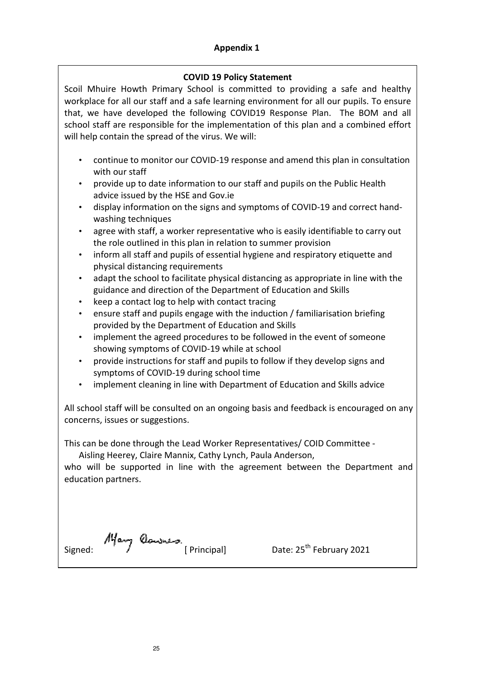#### **Appendix 1**

#### **COVID 19 Policy Statement**

Scoil Mhuire Howth Primary School is committed to providing a safe and healthy workplace for all our staff and a safe learning environment for all our pupils. To ensure that, we have developed the following COVID19 Response Plan. The BOM and all school staff are responsible for the implementation of this plan and a combined effort will help contain the spread of the virus. We will:

- continue to monitor our COVID-19 response and amend this plan in consultation with our staff
- provide up to date information to our staff and pupils on the Public Health advice issued by the HSE and Gov.ie
- display information on the signs and symptoms of COVID-19 and correct handwashing techniques
- agree with staff, a worker representative who is easily identifiable to carry out the role outlined in this plan in relation to summer provision
- inform all staff and pupils of essential hygiene and respiratory etiquette and physical distancing requirements
- adapt the school to facilitate physical distancing as appropriate in line with the guidance and direction of the Department of Education and Skills
- keep a contact log to help with contact tracing
- ensure staff and pupils engage with the induction / familiarisation briefing provided by the Department of Education and Skills
- implement the agreed procedures to be followed in the event of someone showing symptoms of COVID-19 while at school
- provide instructions for staff and pupils to follow if they develop signs and symptoms of COVID-19 during school time
- implement cleaning in line with Department of Education and Skills advice

All school staff will be consulted on an ongoing basis and feedback is encouraged on any concerns, issues or suggestions.

This can be done through the Lead Worker Representatives/ COID Committee -

Aisling Heerey, Claire Mannix, Cathy Lynch, Paula Anderson,

who will be supported in line with the agreement between the Department and education partners.

Signed:  $\frac{10}{4}$  Candress.<br>[ Principal] Date: 25<sup>th</sup> February 2021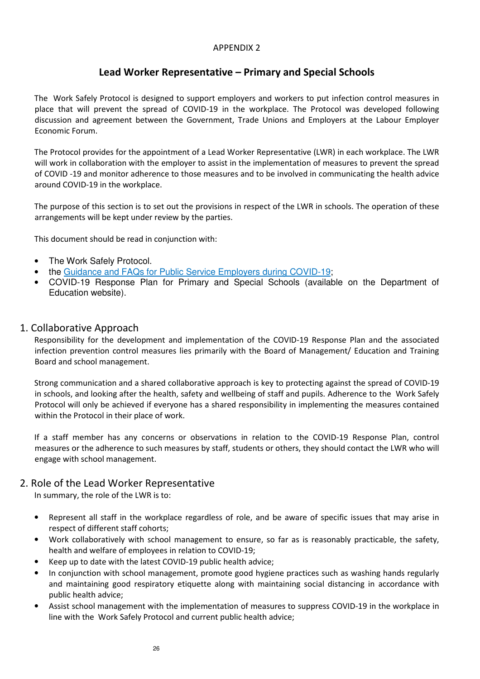#### APPENDIX 2

# **Lead Worker Representative – Primary and Special Schools**

The Work Safely Protocol is designed to support employers and workers to put infection control measures in place that will prevent the spread of COVID-19 in the workplace. The Protocol was developed following discussion and agreement between the Government, Trade Unions and Employers at the Labour Employer Economic Forum.

The Protocol provides for the appointment of a Lead Worker Representative (LWR) in each workplace. The LWR will work in collaboration with the employer to assist in the implementation of measures to prevent the spread of COVID -19 and monitor adherence to those measures and to be involved in communicating the health advice around COVID-19 in the workplace.

The purpose of this section is to set out the provisions in respect of the LWR in schools. The operation of these arrangements will be kept under review by the parties.

This document should be read in conjunction with:

- The Work Safely Protocol.
- the Guidance and FAQs for Public Service Employers during COVID-19;
- COVID-19 Response Plan for Primary and Special Schools (available on the Department of Education website).

#### 1. Collaborative Approach

Responsibility for the development and implementation of the COVID-19 Response Plan and the associated infection prevention control measures lies primarily with the Board of Management/ Education and Training Board and school management.

Strong communication and a shared collaborative approach is key to protecting against the spread of COVID-19 in schools, and looking after the health, safety and wellbeing of staff and pupils. Adherence to the Work Safely Protocol will only be achieved if everyone has a shared responsibility in implementing the measures contained within the Protocol in their place of work.

If a staff member has any concerns or observations in relation to the COVID-19 Response Plan, control measures or the adherence to such measures by staff, students or others, they should contact the LWR who will engage with school management.

# 2. Role of the Lead Worker Representative

In summary, the role of the LWR is to:

- Represent all staff in the workplace regardless of role, and be aware of specific issues that may arise in respect of different staff cohorts;
- Work collaboratively with school management to ensure, so far as is reasonably practicable, the safety, health and welfare of employees in relation to COVID-19;
- Keep up to date with the latest COVID-19 public health advice;
- In conjunction with school management, promote good hygiene practices such as washing hands regularly and maintaining good respiratory etiquette along with maintaining social distancing in accordance with public health advice;
- Assist school management with the implementation of measures to suppress COVID-19 in the workplace in line with the Work Safely Protocol and current public health advice;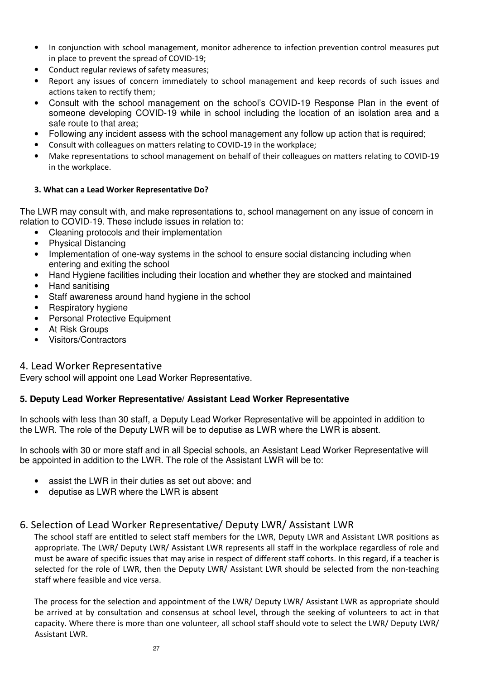- In conjunction with school management, monitor adherence to infection prevention control measures put in place to prevent the spread of COVID-19;
- Conduct regular reviews of safety measures;
- Report any issues of concern immediately to school management and keep records of such issues and actions taken to rectify them;
- Consult with the school management on the school's COVID-19 Response Plan in the event of someone developing COVID-19 while in school including the location of an isolation area and a safe route to that area;
- Following any incident assess with the school management any follow up action that is required;
- Consult with colleagues on matters relating to COVID-19 in the workplace;
- Make representations to school management on behalf of their colleagues on matters relating to COVID-19 in the workplace.

#### **3. What can a Lead Worker Representative Do?**

The LWR may consult with, and make representations to, school management on any issue of concern in relation to COVID-19. These include issues in relation to:

- Cleaning protocols and their implementation
- Physical Distancing
- Implementation of one-way systems in the school to ensure social distancing including when entering and exiting the school
- Hand Hygiene facilities including their location and whether they are stocked and maintained
- Hand sanitising
- Staff awareness around hand hygiene in the school
- Respiratory hygiene
- Personal Protective Equipment
- At Risk Groups
- Visitors/Contractors

# 4. Lead Worker Representative

Every school will appoint one Lead Worker Representative.

# **5. Deputy Lead Worker Representative/ Assistant Lead Worker Representative**

In schools with less than 30 staff, a Deputy Lead Worker Representative will be appointed in addition to the LWR. The role of the Deputy LWR will be to deputise as LWR where the LWR is absent.

In schools with 30 or more staff and in all Special schools, an Assistant Lead Worker Representative will be appointed in addition to the LWR. The role of the Assistant LWR will be to:

- assist the LWR in their duties as set out above; and
- deputise as LWR where the LWR is absent

# 6. Selection of Lead Worker Representative/ Deputy LWR/ Assistant LWR

The school staff are entitled to select staff members for the LWR, Deputy LWR and Assistant LWR positions as appropriate. The LWR/ Deputy LWR/ Assistant LWR represents all staff in the workplace regardless of role and must be aware of specific issues that may arise in respect of different staff cohorts. In this regard, if a teacher is selected for the role of LWR, then the Deputy LWR/ Assistant LWR should be selected from the non-teaching staff where feasible and vice versa.

The process for the selection and appointment of the LWR/ Deputy LWR/ Assistant LWR as appropriate should be arrived at by consultation and consensus at school level, through the seeking of volunteers to act in that capacity. Where there is more than one volunteer, all school staff should vote to select the LWR/ Deputy LWR/ Assistant LWR.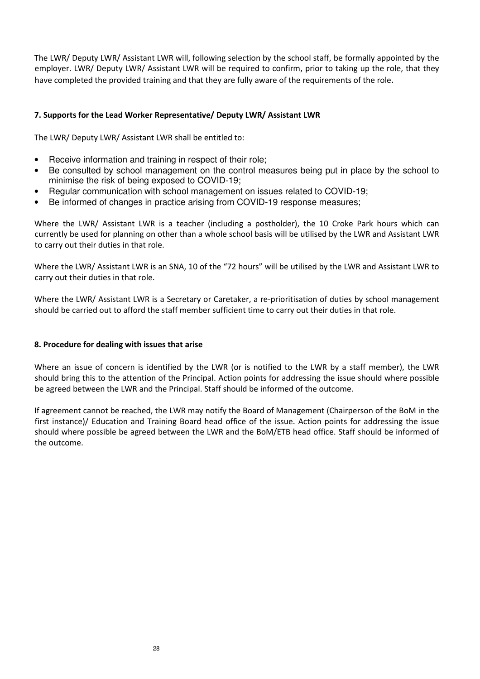The LWR/ Deputy LWR/ Assistant LWR will, following selection by the school staff, be formally appointed by the employer. LWR/ Deputy LWR/ Assistant LWR will be required to confirm, prior to taking up the role, that they have completed the provided training and that they are fully aware of the requirements of the role.

#### **7. Supports for the Lead Worker Representative/ Deputy LWR/ Assistant LWR**

The LWR/ Deputy LWR/ Assistant LWR shall be entitled to:

- Receive information and training in respect of their role;
- Be consulted by school management on the control measures being put in place by the school to minimise the risk of being exposed to COVID-19;
- Regular communication with school management on issues related to COVID-19;
- Be informed of changes in practice arising from COVID-19 response measures;

Where the LWR/ Assistant LWR is a teacher (including a postholder), the 10 Croke Park hours which can currently be used for planning on other than a whole school basis will be utilised by the LWR and Assistant LWR to carry out their duties in that role.

Where the LWR/ Assistant LWR is an SNA, 10 of the "72 hours" will be utilised by the LWR and Assistant LWR to carry out their duties in that role.

Where the LWR/ Assistant LWR is a Secretary or Caretaker, a re-prioritisation of duties by school management should be carried out to afford the staff member sufficient time to carry out their duties in that role.

#### **8. Procedure for dealing with issues that arise**

Where an issue of concern is identified by the LWR (or is notified to the LWR by a staff member), the LWR should bring this to the attention of the Principal. Action points for addressing the issue should where possible be agreed between the LWR and the Principal. Staff should be informed of the outcome.

If agreement cannot be reached, the LWR may notify the Board of Management (Chairperson of the BoM in the first instance)/ Education and Training Board head office of the issue. Action points for addressing the issue should where possible be agreed between the LWR and the BoM/ETB head office. Staff should be informed of the outcome.